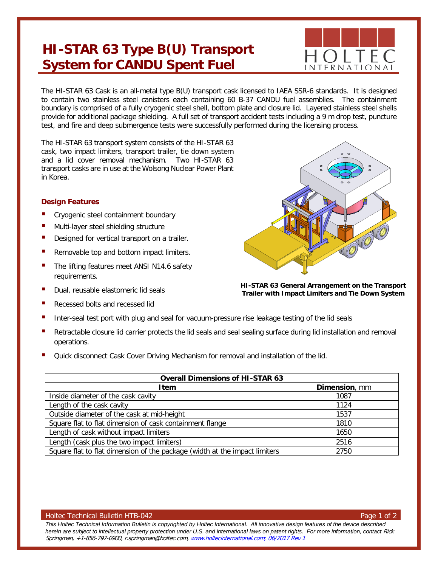## **HI-STAR 63 Type B(U) Transport System for CANDU Spent Fuel**



The HI-STAR 63 Cask is an all-metal type B(U) transport cask licensed to IAEA SSR-6 standards. It is designed to contain two stainless steel canisters each containing 60 B-37 CANDU fuel assemblies. The containment boundary is comprised of a fully cryogenic steel shell, bottom plate and closure lid. Layered stainless steel shells provide for additional package shielding. A full set of transport accident tests including a 9 m drop test, puncture test, and fire and deep submergence tests were successfully performed during the licensing process.

The HI-STAR 63 transport system consists of the HI-STAR 63 cask, two impact limiters, transport trailer, tie down system and a lid cover removal mechanism. Two HI-STAR 63 transport casks are in use at the Wolsong Nuclear Power Plant in Korea.

## **Design Features**

- Cryogenic steel containment boundary
- Multi-layer steel shielding structure
- Designed for vertical transport on a trailer.
- Removable top and bottom impact limiters.
- The lifting features meet ANSI N14.6 safety requirements.
- Dual, reusable elastomeric lid seals
- Recessed bolts and recessed lid



- Retractable closure lid carrier protects the lid seals and seal sealing surface during lid installation and removal operations.
- Quick disconnect Cask Cover Driving Mechanism for removal and installation of the lid.

| <b>Overall Dimensions of HI-STAR 63</b>                                    |               |  |
|----------------------------------------------------------------------------|---------------|--|
| <b>Item</b>                                                                | Dimension, mm |  |
| Inside diameter of the cask cavity                                         | 1087          |  |
| Length of the cask cavity                                                  | 1124          |  |
| Outside diameter of the cask at mid-height                                 | 1537          |  |
| Square flat to flat dimension of cask containment flange                   | 1810          |  |
| Length of cask without impact limiters                                     | 1650          |  |
| Length (cask plus the two impact limiters)                                 | 2516          |  |
| Square flat to flat dimension of the package (width at the impact limiters | 2750          |  |

## Holtec Technical Bulletin HTB-042 Page 1 of 2

*This Holtec Technical Information Bulletin is copyrighted by Holtec International. All innovative design features of the device described*  herein are subject to intellectual property protection under U.S. and international laws on patent rights. For more information, contact Rick Springman, +1-856-797-0900, r.springman@holtec.com, [www.holtecinternational.com;](http://www.holtecinternational.com/) 06/2017 Rev 1



**HI-STAR 63 General Arrangement on the Transport Trailer with Impact Limiters and Tie Down System**